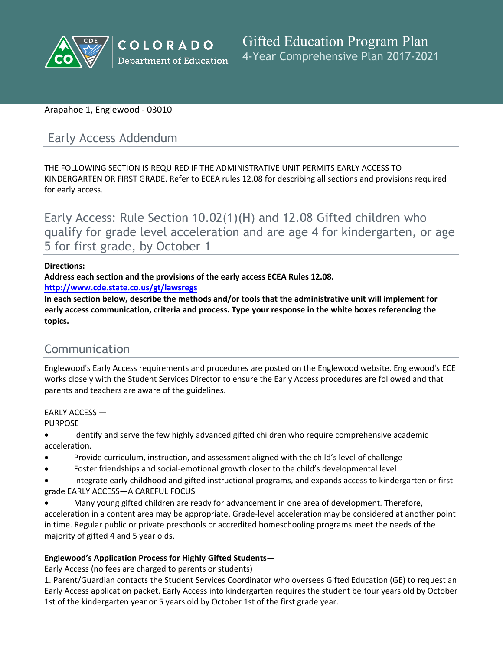

## Arapahoe 1, Englewood - 03010

# Early Access Addendum

THE FOLLOWING SECTION IS REQUIRED IF THE ADMINISTRATIVE UNIT PERMITS EARLY ACCESS TO KINDERGARTEN OR FIRST GRADE. Refer to ECEA rules 12.08 for describing all sections and provisions required for early access.

Early Access: Rule Section 10.02(1)(H) and 12.08 Gifted children who qualify for grade level acceleration and are age 4 for kindergarten, or age 5 for first grade, by October 1

#### **Directions:**

**Address each section and the provisions of the early access ECEA Rules 12.08.** 

**<http://www.cde.state.co.us/gt/lawsregs>**

**In each section below, describe the methods and/or tools that the administrative unit will implement for early access communication, criteria and process. Type your response in the white boxes referencing the topics.**

# Communication

Englewood's Early Access requirements and procedures are posted on the Englewood website. Englewood's ECE works closely with the Student Services Director to ensure the Early Access procedures are followed and that parents and teachers are aware of the guidelines.

EARLY ACCESS — **PURPOSE** 

- Identify and serve the few highly advanced gifted children who require comprehensive academic acceleration.
- Provide curriculum, instruction, and assessment aligned with the child's level of challenge
- Foster friendships and social-emotional growth closer to the child's developmental level
- Integrate early childhood and gifted instructional programs, and expands access to kindergarten or first grade EARLY ACCESS—A CAREFUL FOCUS
- Many young gifted children are ready for advancement in one area of development. Therefore, acceleration in a content area may be appropriate. Grade-level acceleration may be considered at another point in time. Regular public or private preschools or accredited homeschooling programs meet the needs of the majority of gifted 4 and 5 year olds.

## **Englewood's Application Process for Highly Gifted Students—**

Early Access (no fees are charged to parents or students)

1. Parent/Guardian contacts the Student Services Coordinator who oversees Gifted Education (GE) to request an Early Access application packet. Early Access into kindergarten requires the student be four years old by October 1st of the kindergarten year or 5 years old by October 1st of the first grade year.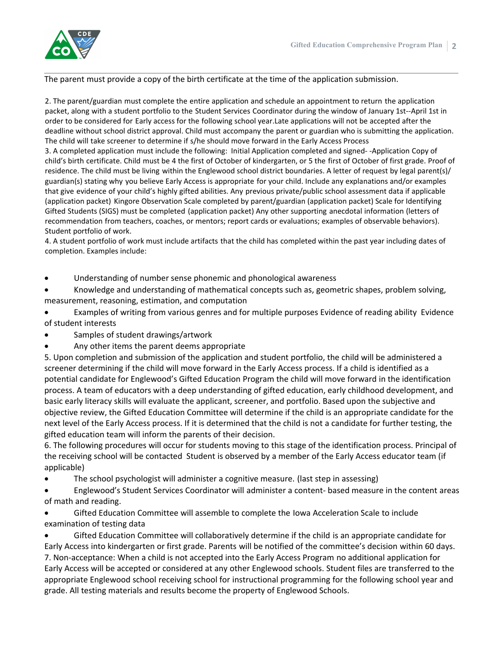

The parent must provide a copy of the birth certificate at the time of the application submission.

2. The parent/guardian must complete the entire application and schedule an appointment to return the application packet, along with a student portfolio to the Student Services Coordinator during the window of January 1st--April 1st in order to be considered for Early access for the following school year.Late applications will not be accepted after the deadline without school district approval. Child must accompany the parent or guardian who is submitting the application. The child will take screener to determine if s/he should move forward in the Early Access Process

3. A completed application must include the following: Initial Application completed and signed- -Application Copy of child's birth certificate. Child must be 4 the first of October of kindergarten, or 5 the first of October of first grade. Proof of residence. The child must be living within the Englewood school district boundaries. A letter of request by legal parent(s)/ guardian(s) stating why you believe Early Access is appropriate for your child. Include any explanations and/or examples that give evidence of your child's highly gifted abilities. Any previous private/public school assessment data if applicable (application packet) Kingore Observation Scale completed by parent/guardian (application packet) Scale for Identifying Gifted Students (SIGS) must be completed (application packet) Any other supporting anecdotal information (letters of recommendation from teachers, coaches, or mentors; report cards or evaluations; examples of observable behaviors). Student portfolio of work.

4. A student portfolio of work must include artifacts that the child has completed within the past year including dates of completion. Examples include:

- Understanding of number sense phonemic and phonological awareness
- Knowledge and understanding of mathematical concepts such as, geometric shapes, problem solving, measurement, reasoning, estimation, and computation
- Examples of writing from various genres and for multiple purposes Evidence of reading ability Evidence of student interests
- Samples of student drawings/artwork
- Any other items the parent deems appropriate

5. Upon completion and submission of the application and student portfolio, the child will be administered a screener determining if the child will move forward in the Early Access process. If a child is identified as a potential candidate for Englewood's Gifted Education Program the child will move forward in the identification process. A team of educators with a deep understanding of gifted education, early childhood development, and basic early literacy skills will evaluate the applicant, screener, and portfolio. Based upon the subjective and objective review, the Gifted Education Committee will determine if the child is an appropriate candidate for the next level of the Early Access process. If it is determined that the child is not a candidate for further testing, the gifted education team will inform the parents of their decision.

6. The following procedures will occur for students moving to this stage of the identification process. Principal of the receiving school will be contacted Student is observed by a member of the Early Access educator team (if applicable)

- The school psychologist will administer a cognitive measure. (last step in assessing)
- Englewood's Student Services Coordinator will administer a content- based measure in the content areas of math and reading.
- Gifted Education Committee will assemble to complete the Iowa Acceleration Scale to include examination of testing data

• Gifted Education Committee will collaboratively determine if the child is an appropriate candidate for Early Access into kindergarten or first grade. Parents will be notified of the committee's decision within 60 days. 7. Non-acceptance: When a child is not accepted into the Early Access Program no additional application for Early Access will be accepted or considered at any other Englewood schools. Student files are transferred to the appropriate Englewood school receiving school for instructional programming for the following school year and grade. All testing materials and results become the property of Englewood Schools.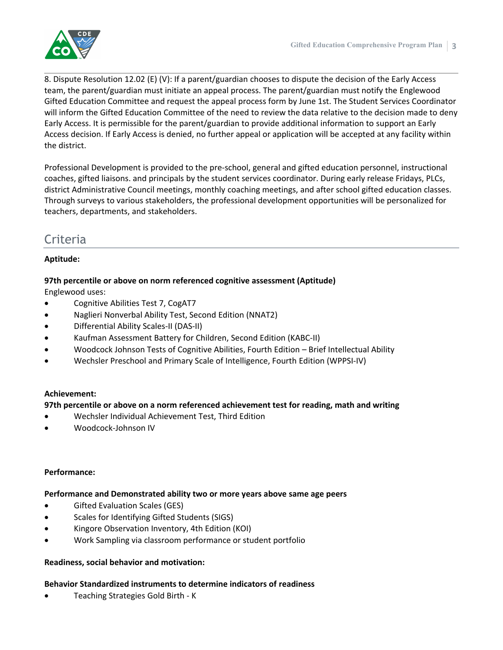

8. Dispute Resolution 12.02 (E) (V): If a parent/guardian chooses to dispute the decision of the Early Access team, the parent/guardian must initiate an appeal process. The parent/guardian must notify the Englewood Gifted Education Committee and request the appeal process form by June 1st. The Student Services Coordinator will inform the Gifted Education Committee of the need to review the data relative to the decision made to deny Early Access. It is permissible for the parent/guardian to provide additional information to support an Early Access decision. If Early Access is denied, no further appeal or application will be accepted at any facility within the district.

Professional Development is provided to the pre-school, general and gifted education personnel, instructional coaches, gifted liaisons. and principals by the student services coordinator. During early release Fridays, PLCs, district Administrative Council meetings, monthly coaching meetings, and after school gifted education classes. Through surveys to various stakeholders, the professional development opportunities will be personalized for teachers, departments, and stakeholders.

# Criteria

## **Aptitude:**

## **97th percentile or above on norm referenced cognitive assessment (Aptitude)**

Englewood uses:

- Cognitive Abilities Test 7, CogAT7
- Naglieri Nonverbal Ability Test, Second Edition (NNAT2)
- Differential Ability Scales-II (DAS-II)
- Kaufman Assessment Battery for Children, Second Edition (KABC-II)
- Woodcock Johnson Tests of Cognitive Abilities, Fourth Edition Brief Intellectual Ability
- Wechsler Preschool and Primary Scale of Intelligence, Fourth Edition (WPPSI-IV)

## **Achievement:**

## **97th percentile or above on a norm referenced achievement test for reading, math and writing**

- Wechsler Individual Achievement Test, Third Edition
- Woodcock-Johnson IV

## **Performance:**

#### **Performance and Demonstrated ability two or more years above same age peers**

- Gifted Evaluation Scales (GES)
- Scales for Identifying Gifted Students (SIGS)
- Kingore Observation Inventory, 4th Edition (KOI)
- Work Sampling via classroom performance or student portfolio

## **Readiness, social behavior and motivation:**

## **Behavior Standardized instruments to determine indicators of readiness**

Teaching Strategies Gold Birth - K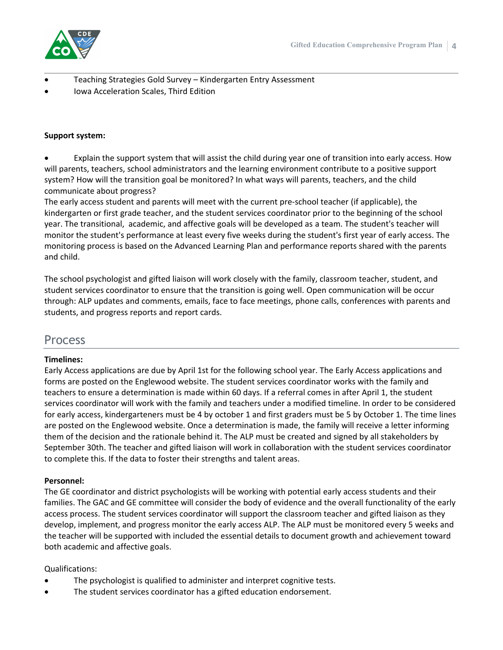

- Teaching Strategies Gold Survey Kindergarten Entry Assessment
- Iowa Acceleration Scales, Third Edition

#### **Support system:**

 Explain the support system that will assist the child during year one of transition into early access. How will parents, teachers, school administrators and the learning environment contribute to a positive support system? How will the transition goal be monitored? In what ways will parents, teachers, and the child communicate about progress?

The early access student and parents will meet with the current pre-school teacher (if applicable), the kindergarten or first grade teacher, and the student services coordinator prior to the beginning of the school year. The transitional, academic, and affective goals will be developed as a team. The student's teacher will monitor the student's performance at least every five weeks during the student's first year of early access. The monitoring process is based on the Advanced Learning Plan and performance reports shared with the parents and child.

The school psychologist and gifted liaison will work closely with the family, classroom teacher, student, and student services coordinator to ensure that the transition is going well. Open communication will be occur through: ALP updates and comments, emails, face to face meetings, phone calls, conferences with parents and students, and progress reports and report cards.

## Process

#### **Timelines:**

Early Access applications are due by April 1st for the following school year. The Early Access applications and forms are posted on the Englewood website. The student services coordinator works with the family and teachers to ensure a determination is made within 60 days. If a referral comes in after April 1, the student services coordinator will work with the family and teachers under a modified timeline. In order to be considered for early access, kindergarteners must be 4 by october 1 and first graders must be 5 by October 1. The time lines are posted on the Englewood website. Once a determination is made, the family will receive a letter informing them of the decision and the rationale behind it. The ALP must be created and signed by all stakeholders by September 30th. The teacher and gifted liaison will work in collaboration with the student services coordinator to complete this. If the data to foster their strengths and talent areas.

#### **Personnel:**

The GE coordinator and district psychologists will be working with potential early access students and their families. The GAC and GE committee will consider the body of evidence and the overall functionality of the early access process. The student services coordinator will support the classroom teacher and gifted liaison as they develop, implement, and progress monitor the early access ALP. The ALP must be monitored every 5 weeks and the teacher will be supported with included the essential details to document growth and achievement toward both academic and affective goals.

#### Qualifications:

- The psychologist is qualified to administer and interpret cognitive tests.
- The student services coordinator has a gifted education endorsement.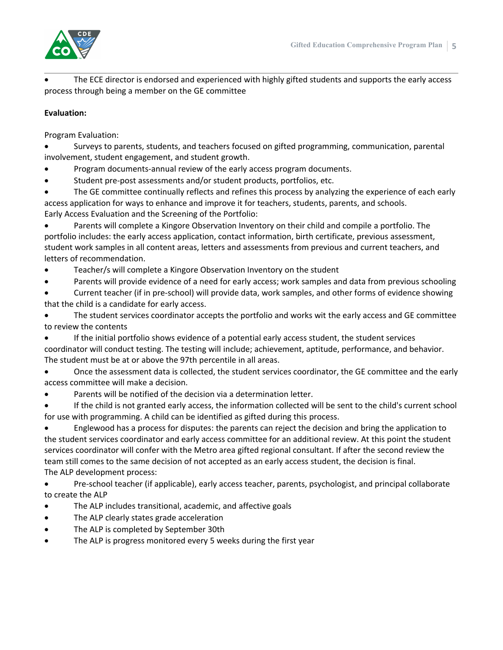

 The ECE director is endorsed and experienced with highly gifted students and supports the early access process through being a member on the GE committee

## **Evaluation:**

Program Evaluation:

 Surveys to parents, students, and teachers focused on gifted programming, communication, parental involvement, student engagement, and student growth.

Program documents-annual review of the early access program documents.

Student pre-post assessments and/or student products, portfolios, etc.

 The GE committee continually reflects and refines this process by analyzing the experience of each early access application for ways to enhance and improve it for teachers, students, parents, and schools. Early Access Evaluation and the Screening of the Portfolio:

 Parents will complete a Kingore Observation Inventory on their child and compile a portfolio. The portfolio includes: the early access application, contact information, birth certificate, previous assessment, student work samples in all content areas, letters and assessments from previous and current teachers, and letters of recommendation.

- Teacher/s will complete a Kingore Observation Inventory on the student
- Parents will provide evidence of a need for early access; work samples and data from previous schooling
- Current teacher (if in pre-school) will provide data, work samples, and other forms of evidence showing that the child is a candidate for early access.

 The student services coordinator accepts the portfolio and works wit the early access and GE committee to review the contents

If the initial portfolio shows evidence of a potential early access student, the student services

coordinator will conduct testing. The testing will include; achievement, aptitude, performance, and behavior. The student must be at or above the 97th percentile in all areas.

 Once the assessment data is collected, the student services coordinator, the GE committee and the early access committee will make a decision.

Parents will be notified of the decision via a determination letter.

 If the child is not granted early access, the information collected will be sent to the child's current school for use with programming. A child can be identified as gifted during this process.

 Englewood has a process for disputes: the parents can reject the decision and bring the application to the student services coordinator and early access committee for an additional review. At this point the student services coordinator will confer with the Metro area gifted regional consultant. If after the second review the team still comes to the same decision of not accepted as an early access student, the decision is final. The ALP development process:

 Pre-school teacher (if applicable), early access teacher, parents, psychologist, and principal collaborate to create the ALP

- The ALP includes transitional, academic, and affective goals
- The ALP clearly states grade acceleration
- The ALP is completed by September 30th
- The ALP is progress monitored every 5 weeks during the first year